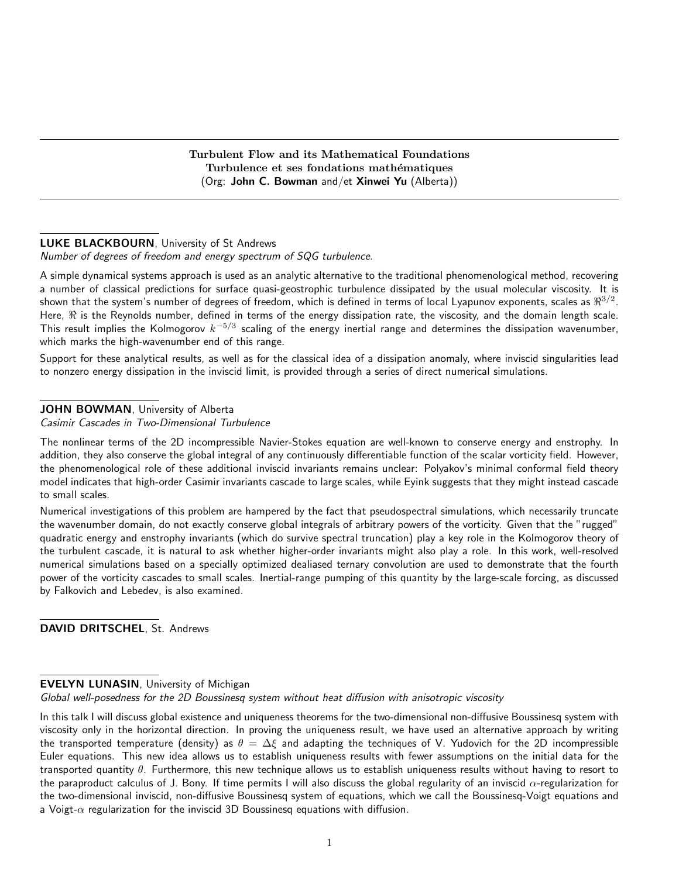Turbulent Flow and its Mathematical Foundations Turbulence et ses fondations mathématiques (Org: John C. Bowman and/et Xinwei Yu (Alberta))

### LUKE BLACKBOURN, University of St Andrews

Number of degrees of freedom and energy spectrum of SQG turbulence.

A simple dynamical systems approach is used as an analytic alternative to the traditional phenomenological method, recovering a number of classical predictions for surface quasi-geostrophic turbulence dissipated by the usual molecular viscosity. It is shown that the system's number of degrees of freedom, which is defined in terms of local Lyapunov exponents, scales as  $\Re^{3/2}.$ Here,  $\Re$  is the Reynolds number, defined in terms of the energy dissipation rate, the viscosity, and the domain length scale. This result implies the Kolmogorov  $k^{-5/3}$  scaling of the energy inertial range and determines the dissipation wavenumber, which marks the high-wavenumber end of this range.

Support for these analytical results, as well as for the classical idea of a dissipation anomaly, where inviscid singularities lead to nonzero energy dissipation in the inviscid limit, is provided through a series of direct numerical simulations.

## JOHN BOWMAN, University of Alberta

Casimir Cascades in Two-Dimensional Turbulence

The nonlinear terms of the 2D incompressible Navier-Stokes equation are well-known to conserve energy and enstrophy. In addition, they also conserve the global integral of any continuously differentiable function of the scalar vorticity field. However, the phenomenological role of these additional inviscid invariants remains unclear: Polyakov's minimal conformal field theory model indicates that high-order Casimir invariants cascade to large scales, while Eyink suggests that they might instead cascade to small scales.

Numerical investigations of this problem are hampered by the fact that pseudospectral simulations, which necessarily truncate the wavenumber domain, do not exactly conserve global integrals of arbitrary powers of the vorticity. Given that the "rugged" quadratic energy and enstrophy invariants (which do survive spectral truncation) play a key role in the Kolmogorov theory of the turbulent cascade, it is natural to ask whether higher-order invariants might also play a role. In this work, well-resolved numerical simulations based on a specially optimized dealiased ternary convolution are used to demonstrate that the fourth power of the vorticity cascades to small scales. Inertial-range pumping of this quantity by the large-scale forcing, as discussed by Falkovich and Lebedev, is also examined.

DAVID DRITSCHEL, St. Andrews

#### EVELYN LUNASIN, University of Michigan

Global well-posedness for the 2D Boussinesq system without heat diffusion with anisotropic viscosity

In this talk I will discuss global existence and uniqueness theorems for the two-dimensional non-diffusive Boussinesq system with viscosity only in the horizontal direction. In proving the uniqueness result, we have used an alternative approach by writing the transported temperature (density) as  $\theta = \Delta \xi$  and adapting the techniques of V. Yudovich for the 2D incompressible Euler equations. This new idea allows us to establish uniqueness results with fewer assumptions on the initial data for the transported quantity  $\theta$ . Furthermore, this new technique allows us to establish uniqueness results without having to resort to the paraproduct calculus of J. Bony. If time permits I will also discuss the global regularity of an inviscid  $\alpha$ -regularization for the two-dimensional inviscid, non-diffusive Boussinesq system of equations, which we call the Boussinesq-Voigt equations and a Voigt- $\alpha$  regularization for the inviscid 3D Boussinesq equations with diffusion.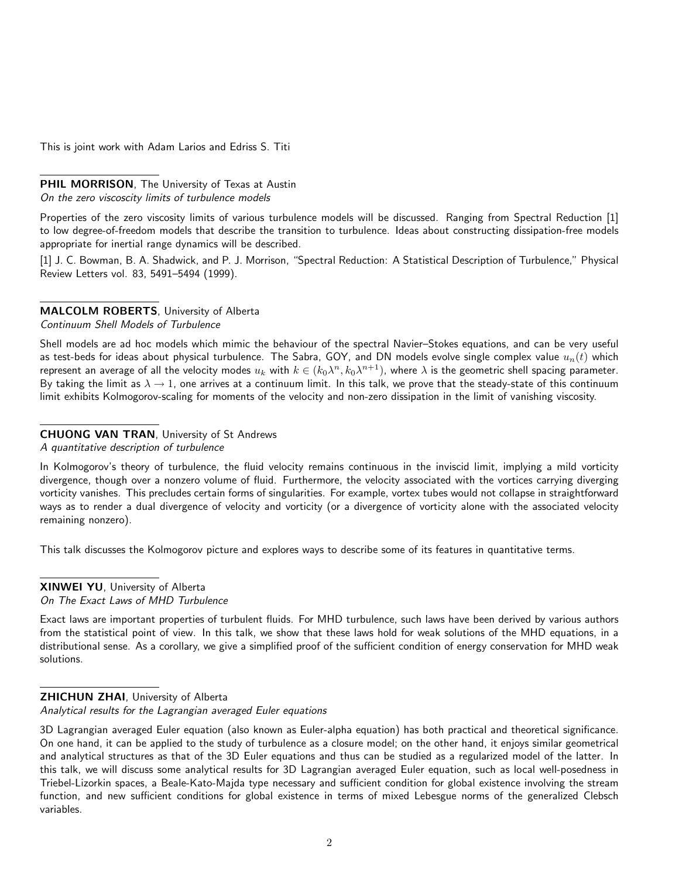This is joint work with Adam Larios and Edriss S. Titi

PHIL MORRISON, The University of Texas at Austin On the zero viscoscity limits of turbulence models

Properties of the zero viscosity limits of various turbulence models will be discussed. Ranging from Spectral Reduction [1] to low degree-of-freedom models that describe the transition to turbulence. Ideas about constructing dissipation-free models appropriate for inertial range dynamics will be described.

[1] J. C. Bowman, B. A. Shadwick, and P. J. Morrison, "Spectral Reduction: A Statistical Description of Turbulence," Physical Review Letters vol. 83, 5491–5494 (1999).

# MALCOLM ROBERTS, University of Alberta

Continuum Shell Models of Turbulence

Shell models are ad hoc models which mimic the behaviour of the spectral Navier–Stokes equations, and can be very useful as test-beds for ideas about physical turbulence. The Sabra, GOY, and DN models evolve single complex value  $u_n(t)$  which represent an average of all the velocity modes  $u_k$  with  $k\in(k_0\lambda^n,k_0\lambda^{n+1})$ , where  $\lambda$  is the geometric shell spacing parameter. By taking the limit as  $\lambda \to 1$ , one arrives at a continuum limit. In this talk, we prove that the steady-state of this continuum limit exhibits Kolmogorov-scaling for moments of the velocity and non-zero dissipation in the limit of vanishing viscosity.

## CHUONG VAN TRAN, University of St Andrews

A quantitative description of turbulence

In Kolmogorov's theory of turbulence, the fluid velocity remains continuous in the inviscid limit, implying a mild vorticity divergence, though over a nonzero volume of fluid. Furthermore, the velocity associated with the vortices carrying diverging vorticity vanishes. This precludes certain forms of singularities. For example, vortex tubes would not collapse in straightforward ways as to render a dual divergence of velocity and vorticity (or a divergence of vorticity alone with the associated velocity remaining nonzero).

This talk discusses the Kolmogorov picture and explores ways to describe some of its features in quantitative terms.

### XINWEI YU, University of Alberta On The Exact Laws of MHD Turbulence

Exact laws are important properties of turbulent fluids. For MHD turbulence, such laws have been derived by various authors from the statistical point of view. In this talk, we show that these laws hold for weak solutions of the MHD equations, in a distributional sense. As a corollary, we give a simplified proof of the sufficient condition of energy conservation for MHD weak solutions.

## ZHICHUN ZHAI, University of Alberta

Analytical results for the Lagrangian averaged Euler equations

<sup>3</sup>D Lagrangian averaged Euler equation (also known as Euler-alpha equation) has both practical and theoretical significance. On one hand, it can be applied to the study of turbulence as a closure model; on the other hand, it enjoys similar geometrical and analytical structures as that of the 3D Euler equations and thus can be studied as a regularized model of the latter. In this talk, we will discuss some analytical results for 3D Lagrangian averaged Euler equation, such as local well-posedness in Triebel-Lizorkin spaces, a Beale-Kato-Majda type necessary and sufficient condition for global existence involving the stream function, and new sufficient conditions for global existence in terms of mixed Lebesgue norms of the generalized Clebsch variables.